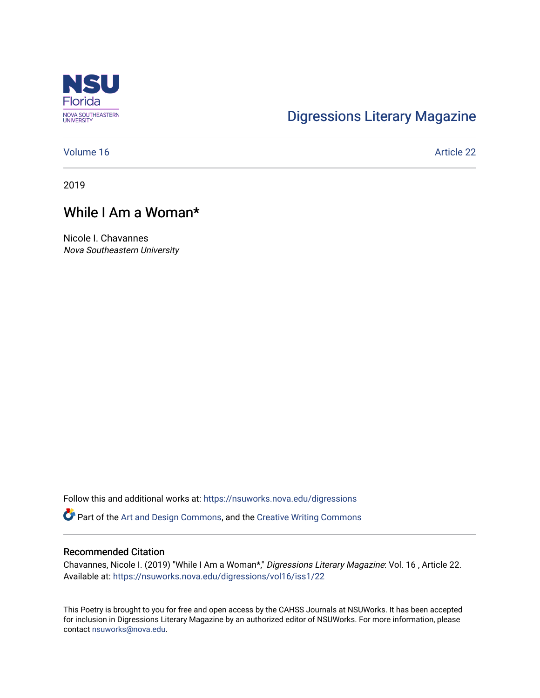

## [Digressions Literary Magazine](https://nsuworks.nova.edu/digressions)

#### [Volume 16](https://nsuworks.nova.edu/digressions/vol16) Article 22

2019

## While I Am a Woman\*

Nicole I. Chavannes Nova Southeastern University

Follow this and additional works at: [https://nsuworks.nova.edu/digressions](https://nsuworks.nova.edu/digressions?utm_source=nsuworks.nova.edu%2Fdigressions%2Fvol16%2Fiss1%2F22&utm_medium=PDF&utm_campaign=PDFCoverPages) 

Part of the [Art and Design Commons](http://network.bepress.com/hgg/discipline/1049?utm_source=nsuworks.nova.edu%2Fdigressions%2Fvol16%2Fiss1%2F22&utm_medium=PDF&utm_campaign=PDFCoverPages), and the [Creative Writing Commons](http://network.bepress.com/hgg/discipline/574?utm_source=nsuworks.nova.edu%2Fdigressions%2Fvol16%2Fiss1%2F22&utm_medium=PDF&utm_campaign=PDFCoverPages)

#### Recommended Citation

Chavannes, Nicole I. (2019) "While I Am a Woman\*," Digressions Literary Magazine: Vol. 16 , Article 22. Available at: [https://nsuworks.nova.edu/digressions/vol16/iss1/22](https://nsuworks.nova.edu/digressions/vol16/iss1/22?utm_source=nsuworks.nova.edu%2Fdigressions%2Fvol16%2Fiss1%2F22&utm_medium=PDF&utm_campaign=PDFCoverPages)

This Poetry is brought to you for free and open access by the CAHSS Journals at NSUWorks. It has been accepted for inclusion in Digressions Literary Magazine by an authorized editor of NSUWorks. For more information, please contact [nsuworks@nova.edu.](mailto:nsuworks@nova.edu)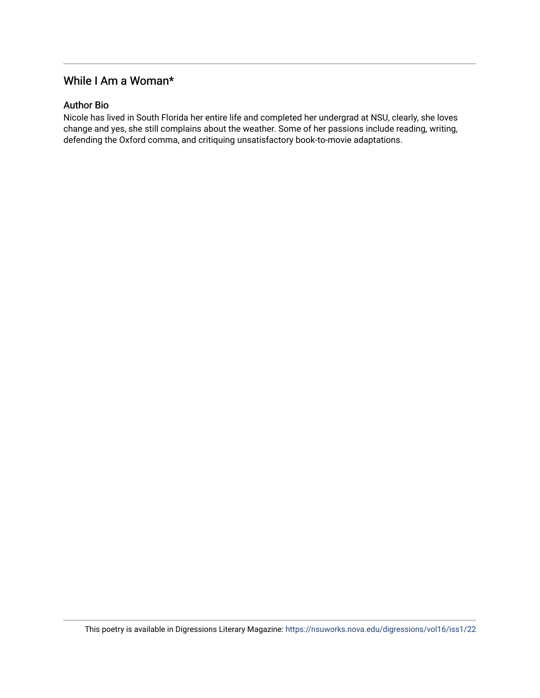### While I Am a Woman\*

#### Author Bio

Nicole has lived in South Florida her entire life and completed her undergrad at NSU, clearly, she loves change and yes, she still complains about the weather. Some of her passions include reading, writing, defending the Oxford comma, and critiquing unsatisfactory book-to-movie adaptations.